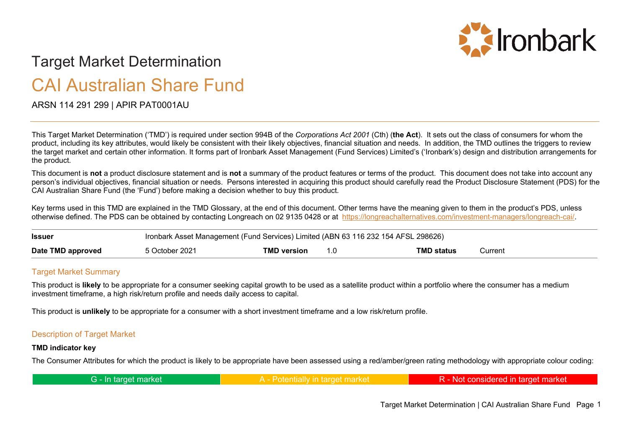

# Target Market Determination CAI Australian Share Fund

## ARSN 114 291 299 | APIR PAT0001AU

This Target Market Determination ('TMD') is required under section 994B of the *Corporations Act 2001* (Cth) (**the Act**). It sets out the class of consumers for whom the product, including its key attributes, would likely be consistent with their likely objectives, financial situation and needs. In addition, the TMD outlines the triggers to review the target market and certain other information. It forms part of Ironbark Asset Management (Fund Services) Limited's ('Ironbark's) design and distribution arrangements for the product.

This document is **not** a product disclosure statement and is **not** a summary of the product features or terms of the product. This document does not take into account any person's individual objectives, financial situation or needs. Persons interested in acquiring this product should carefully read the Product Disclosure Statement (PDS) for the CAI Australian Share Fund (the 'Fund') before making a decision whether to buy this product.

Key terms used in this TMD are explained in the TMD Glossary, at the end of this document. Other terms have the meaning given to them in the product's PDS, unless otherwise defined. The PDS can be obtained by contacting Longreach on 02 9135 0428 or at [https://longreachalternatives.com/investment-managers/longreach-cai/.](https://longreachalternatives.com/investment-managers/longreach-cai/)

| <b>Issuer</b>     | Ironbark Asset Management (Fund Services) Limited (ABN 63 116 232 154 AFSL 298626) |                    |  |            |         |
|-------------------|------------------------------------------------------------------------------------|--------------------|--|------------|---------|
| Date TMD approved | 5 October 2021                                                                     | <b>TMD version</b> |  | TMD status | Current |

#### **Target Market Summary**

This product is **likely** to be appropriate for a consumer seeking capital growth to be used as a satellite product within a portfolio where the consumer has a medium investment timeframe, a high risk/return profile and needs daily access to capital.

This product is **unlikely** to be appropriate for a consumer with a short investment timeframe and a low risk/return profile.

#### Description of Target Market

#### **TMD indicator key**

The Consumer Attributes for which the product is likely to be appropriate have been assessed using a red/amber/green rating methodology with appropriate colour coding:

| G - In target market | A Detentially in tenast mericat | R - Not considered in target market |
|----------------------|---------------------------------|-------------------------------------|
|----------------------|---------------------------------|-------------------------------------|

Target Market Determination | CAI Australian Share Fund Page 1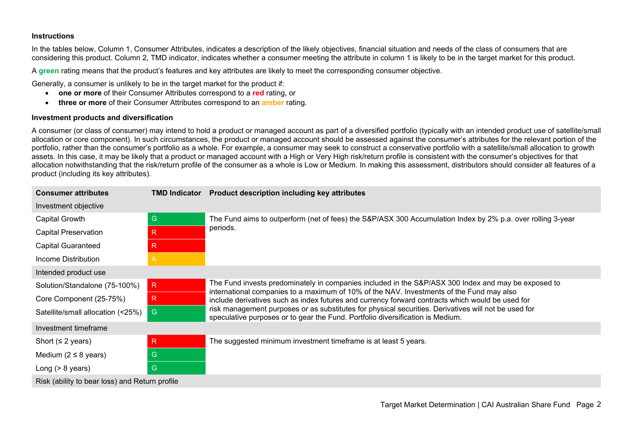#### **Instructions**

In the tables below, Column 1, Consumer Attributes, indicates a description of the likely objectives, financial situation and needs of the class of consumers that are considering this product. Column 2, TMD indicator, indicates whether a consumer meeting the attribute in column 1 is likely to be in the target market for this product.

A **green** rating means that the product's features and key attributes are likely to meet the corresponding consumer objective.

Generally, a consumer is unlikely to be in the target market for the product if:

- **one or more** of their Consumer Attributes correspond to a **red** rating, or
- **three or more** of their Consumer Attributes correspond to an **amber** rating.

#### **Investment products and diversification**

A consumer (or class of consumer) may intend to hold a product or managed account as part of a diversified portfolio (typically with an intended product use of satellite/small allocation or core component). In such circumstances, the product or managed account should be assessed against the consumer's attributes for the relevant portion of the portfolio, rather than the consumer's portfolio as a whole. For example, a consumer may seek to construct a conservative portfolio with a satellite/small allocation to growth assets. In this case, it may be likely that a product or managed account with a High or Very High risk/return profile is consistent with the consumer's objectives for that allocation notwithstanding that the risk/return profile of the consumer as a whole is Low or Medium. In making this assessment, distributors should consider all features of a product (including its key attributes).

| <b>Consumer attributes</b>                     | <b>TMD Indicator</b> | Product description including key attributes                                                                                                                                                    |  |
|------------------------------------------------|----------------------|-------------------------------------------------------------------------------------------------------------------------------------------------------------------------------------------------|--|
| Investment objective                           |                      |                                                                                                                                                                                                 |  |
| Capital Growth                                 | ${\mathsf G}$        | The Fund aims to outperform (net of fees) the S&P/ASX 300 Accumulation Index by 2% p.a. over rolling 3-year                                                                                     |  |
| <b>Capital Preservation</b>                    | $\mathsf R$          | periods.                                                                                                                                                                                        |  |
| <b>Capital Guaranteed</b>                      | $\mathsf R$          |                                                                                                                                                                                                 |  |
| Income Distribution                            | A                    |                                                                                                                                                                                                 |  |
| Intended product use                           |                      |                                                                                                                                                                                                 |  |
| Solution/Standalone (75-100%)                  | R                    | The Fund invests predominately in companies included in the S&P/ASX 300 Index and may be exposed to<br>international companies to a maximum of 10% of the NAV. Investments of the Fund may also |  |
| Core Component (25-75%)                        | R.                   | include derivatives such as index futures and currency forward contracts which would be used for                                                                                                |  |
| Satellite/small allocation (<25%)              | ${\mathsf G}$        | risk management purposes or as substitutes for physical securities. Derivatives will not be used for<br>speculative purposes or to gear the Fund. Portfolio diversification is Medium.          |  |
| Investment timeframe                           |                      |                                                                                                                                                                                                 |  |
| Short ( $\leq$ 2 years)                        | $\mathsf{R}$         | The suggested minimum investment timeframe is at least 5 years.                                                                                                                                 |  |
| Medium ( $2 \leq 8$ years)                     | G                    |                                                                                                                                                                                                 |  |
| Long $(> 8$ years)                             | G                    |                                                                                                                                                                                                 |  |
| Risk (ability to bear loss) and Return profile |                      |                                                                                                                                                                                                 |  |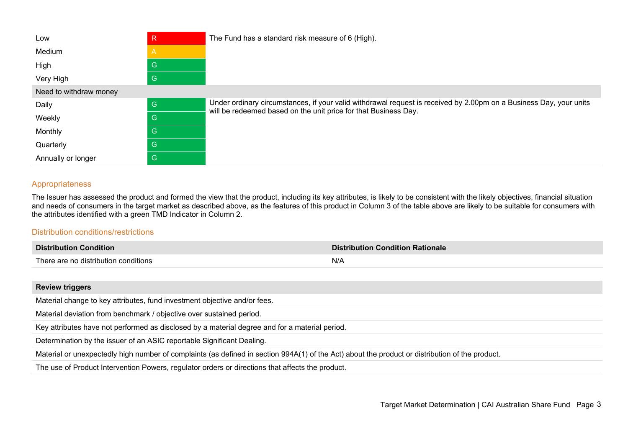| Low                    | R            | The Fund has a standard risk measure of 6 (High).                                                                                                                                     |  |
|------------------------|--------------|---------------------------------------------------------------------------------------------------------------------------------------------------------------------------------------|--|
| Medium                 |              |                                                                                                                                                                                       |  |
| High                   | G            |                                                                                                                                                                                       |  |
| Very High              | G            |                                                                                                                                                                                       |  |
| Need to withdraw money |              |                                                                                                                                                                                       |  |
| Daily                  | $\mathsf{G}$ | Under ordinary circumstances, if your valid withdrawal request is received by 2.00pm on a Business Day, your units<br>will be redeemed based on the unit price for that Business Day. |  |
| Weekly                 | G            |                                                                                                                                                                                       |  |
| Monthly                | G            |                                                                                                                                                                                       |  |
| Quarterly              | G            |                                                                                                                                                                                       |  |
| Annually or longer     | G            |                                                                                                                                                                                       |  |

#### Appropriateness

The Issuer has assessed the product and formed the view that the product, including its key attributes, is likely to be consistent with the likely objectives, financial situation and needs of consumers in the target market as described above, as the features of this product in Column 3 of the table above are likely to be suitable for consumers with the attributes identified with a green TMD Indicator in Column 2.

### Distribution conditions/restrictions

| <b>Distribution Condition</b>        | <b>Distribution Condition Rationale</b> |
|--------------------------------------|-----------------------------------------|
| There are no distribution conditions | N/A                                     |
|                                      |                                         |

| <b>Review triggers</b>                                                                                                                          |  |
|-------------------------------------------------------------------------------------------------------------------------------------------------|--|
| Material change to key attributes, fund investment objective and/or fees.                                                                       |  |
| Material deviation from benchmark / objective over sustained period.                                                                            |  |
| Key attributes have not performed as disclosed by a material degree and for a material period.                                                  |  |
| Determination by the issuer of an ASIC reportable Significant Dealing.                                                                          |  |
| Material or unexpectedly high number of complaints (as defined in section 994A(1) of the Act) about the product or distribution of the product. |  |
| The use of Product Intervention Powers, regulator orders or directions that affects the product.                                                |  |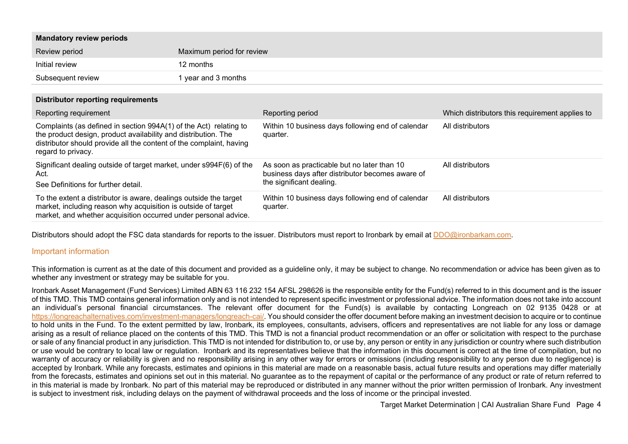| <b>Mandatory review periods</b>                                                                                                                                                                                                  |                           |                                                                                                                             |                                                |
|----------------------------------------------------------------------------------------------------------------------------------------------------------------------------------------------------------------------------------|---------------------------|-----------------------------------------------------------------------------------------------------------------------------|------------------------------------------------|
| Review period                                                                                                                                                                                                                    | Maximum period for review |                                                                                                                             |                                                |
| Initial review                                                                                                                                                                                                                   | 12 months                 |                                                                                                                             |                                                |
| Subsequent review                                                                                                                                                                                                                | 1 year and 3 months       |                                                                                                                             |                                                |
| Distributor reporting requirements                                                                                                                                                                                               |                           |                                                                                                                             |                                                |
| Reporting requirement                                                                                                                                                                                                            |                           | Reporting period                                                                                                            | Which distributors this requirement applies to |
| Complaints (as defined in section 994A(1) of the Act) relating to<br>the product design, product availability and distribution. The<br>distributor should provide all the content of the complaint, having<br>regard to privacy. |                           | Within 10 business days following end of calendar<br>quarter.                                                               | All distributors                               |
| Significant dealing outside of target market, under s994F(6) of the<br>Act.<br>See Definitions for further detail.                                                                                                               |                           | As soon as practicable but no later than 10<br>business days after distributor becomes aware of<br>the significant dealing. | All distributors                               |
| To the extent a distributor is aware, dealings outside the target<br>market, including reason why acquisition is outside of target<br>market, and whether acquisition occurred under personal advice.                            |                           | Within 10 business days following end of calendar<br>quarter.                                                               | All distributors                               |

Distributors should adopt the FSC data standards for reports to the issuer. Distributors must report to Ironbark by email at [DDO@ironbarkam.com.](mailto:DDO@ironbarkam.com)

#### Important information

This information is current as at the date of this document and provided as a guideline only, it may be subject to change. No recommendation or advice has been given as to whether any investment or strategy may be suitable for you.

Ironbark Asset Management (Fund Services) Limited ABN 63 116 232 154 AFSL 298626 is the responsible entity for the Fund(s) referred to in this document and is the issuer of this TMD. This TMD contains general information only and is not intended to represent specific investment or professional advice. The information does not take into account an individual's personal financial circumstances. The relevant offer document for the Fund(s) is available by contacting Longreach on 02 9135 0428 or at [https://longreachalternatives.com/investment-managers/longreach-cai/.](https://longreachalternatives.com/investment-managers/longreach-cai/) You should consider the offer document before making an investment decision to acquire or to continue to hold units in the Fund. To the extent permitted by law, Ironbark, its employees, consultants, advisers, officers and representatives are not liable for any loss or damage arising as a result of reliance placed on the contents of this TMD. This TMD is not a financial product recommendation or an offer or solicitation with respect to the purchase or sale of any financial product in any jurisdiction. This TMD is not intended for distribution to, or use by, any person or entity in any jurisdiction or country where such distribution or use would be contrary to local law or regulation. Ironbark and its representatives believe that the information in this document is correct at the time of compilation, but no warranty of accuracy or reliability is given and no responsibility arising in any other way for errors or omissions (including responsibility to any person due to negligence) is accepted by Ironbark. While any forecasts, estimates and opinions in this material are made on a reasonable basis, actual future results and operations may differ materially from the forecasts, estimates and opinions set out in this material. No guarantee as to the repayment of capital or the performance of any product or rate of return referred to in this material is made by Ironbark. No part of this material may be reproduced or distributed in any manner without the prior written permission of Ironbark. Any investment is subject to investment risk, including delays on the payment of withdrawal proceeds and the loss of income or the principal invested.

Target Market Determination | CAI Australian Share Fund Page 4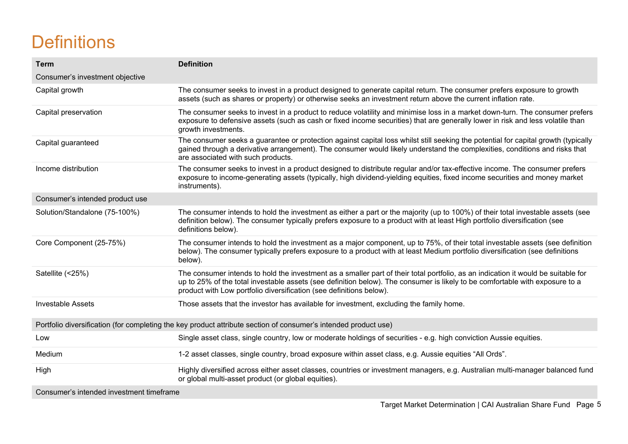# **Definitions**

| <b>Term</b>                                                                                                     | <b>Definition</b>                                                                                                                                                                                                                                                                                                                        |  |  |
|-----------------------------------------------------------------------------------------------------------------|------------------------------------------------------------------------------------------------------------------------------------------------------------------------------------------------------------------------------------------------------------------------------------------------------------------------------------------|--|--|
| Consumer's investment objective                                                                                 |                                                                                                                                                                                                                                                                                                                                          |  |  |
| Capital growth                                                                                                  | The consumer seeks to invest in a product designed to generate capital return. The consumer prefers exposure to growth<br>assets (such as shares or property) or otherwise seeks an investment return above the current inflation rate.                                                                                                  |  |  |
| Capital preservation                                                                                            | The consumer seeks to invest in a product to reduce volatility and minimise loss in a market down-turn. The consumer prefers<br>exposure to defensive assets (such as cash or fixed income securities) that are generally lower in risk and less volatile than<br>growth investments.                                                    |  |  |
| Capital guaranteed                                                                                              | The consumer seeks a guarantee or protection against capital loss whilst still seeking the potential for capital growth (typically<br>gained through a derivative arrangement). The consumer would likely understand the complexities, conditions and risks that<br>are associated with such products.                                   |  |  |
| Income distribution                                                                                             | The consumer seeks to invest in a product designed to distribute regular and/or tax-effective income. The consumer prefers<br>exposure to income-generating assets (typically, high dividend-yielding equities, fixed income securities and money market<br>instruments).                                                                |  |  |
| Consumer's intended product use                                                                                 |                                                                                                                                                                                                                                                                                                                                          |  |  |
| Solution/Standalone (75-100%)                                                                                   | The consumer intends to hold the investment as either a part or the majority (up to 100%) of their total investable assets (see<br>definition below). The consumer typically prefers exposure to a product with at least High portfolio diversification (see<br>definitions below).                                                      |  |  |
| Core Component (25-75%)                                                                                         | The consumer intends to hold the investment as a major component, up to 75%, of their total investable assets (see definition<br>below). The consumer typically prefers exposure to a product with at least Medium portfolio diversification (see definitions<br>below).                                                                 |  |  |
| Satellite (<25%)                                                                                                | The consumer intends to hold the investment as a smaller part of their total portfolio, as an indication it would be suitable for<br>up to 25% of the total investable assets (see definition below). The consumer is likely to be comfortable with exposure to a<br>product with Low portfolio diversification (see definitions below). |  |  |
| <b>Investable Assets</b>                                                                                        | Those assets that the investor has available for investment, excluding the family home.                                                                                                                                                                                                                                                  |  |  |
| Portfolio diversification (for completing the key product attribute section of consumer's intended product use) |                                                                                                                                                                                                                                                                                                                                          |  |  |
| Low                                                                                                             | Single asset class, single country, low or moderate holdings of securities - e.g. high conviction Aussie equities.                                                                                                                                                                                                                       |  |  |
| Medium                                                                                                          | 1-2 asset classes, single country, broad exposure within asset class, e.g. Aussie equities "All Ords".                                                                                                                                                                                                                                   |  |  |
| High                                                                                                            | Highly diversified across either asset classes, countries or investment managers, e.g. Australian multi-manager balanced fund<br>or global multi-asset product (or global equities).                                                                                                                                                     |  |  |
| Consumer's intended investment timeframe                                                                        |                                                                                                                                                                                                                                                                                                                                          |  |  |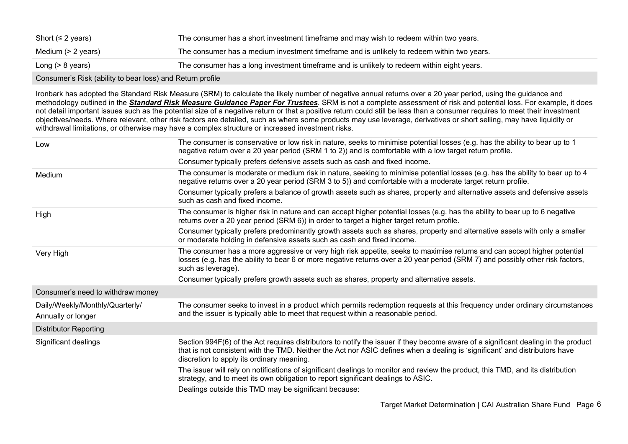Consumer's Risk (ability to bear loss) and Return profile

Ironbark has adopted the Standard Risk Measure (SRM) to calculate the likely number of negative annual returns over a 20 year period, using the guidance and methodology outlined in the *[Standard Risk Measure Guidance Paper For Trustees](https://protect-eu.mimecast.com/s/pqPaCwVNmtGRQpvMFVpVgu?domain=urldefense.com)*. SRM is not a complete assessment of risk and potential loss. For example, it does not detail important issues such as the potential size of a negative return or that a positive return could still be less than a consumer requires to meet their investment objectives/needs. Where relevant, other risk factors are detailed, such as where some products may use leverage, derivatives or short selling, may have liquidity or withdrawal limitations, or otherwise may have a complex structure or increased investment risks.

| Low                                                   | The consumer is conservative or low risk in nature, seeks to minimise potential losses (e.g. has the ability to bear up to 1<br>negative return over a 20 year period (SRM 1 to 2)) and is comfortable with a low target return profile.                                                                       |
|-------------------------------------------------------|----------------------------------------------------------------------------------------------------------------------------------------------------------------------------------------------------------------------------------------------------------------------------------------------------------------|
|                                                       | Consumer typically prefers defensive assets such as cash and fixed income.                                                                                                                                                                                                                                     |
| Medium                                                | The consumer is moderate or medium risk in nature, seeking to minimise potential losses (e.g. has the ability to bear up to 4<br>negative returns over a 20 year period (SRM 3 to 5)) and comfortable with a moderate target return profile.                                                                   |
|                                                       | Consumer typically prefers a balance of growth assets such as shares, property and alternative assets and defensive assets<br>such as cash and fixed income.                                                                                                                                                   |
| High                                                  | The consumer is higher risk in nature and can accept higher potential losses (e.g. has the ability to bear up to 6 negative<br>returns over a 20 year period (SRM 6)) in order to target a higher target return profile.                                                                                       |
|                                                       | Consumer typically prefers predominantly growth assets such as shares, property and alternative assets with only a smaller<br>or moderate holding in defensive assets such as cash and fixed income.                                                                                                           |
| Very High                                             | The consumer has a more aggressive or very high risk appetite, seeks to maximise returns and can accept higher potential<br>losses (e.g. has the ability to bear 6 or more negative returns over a 20 year period (SRM 7) and possibly other risk factors,<br>such as leverage).                               |
|                                                       | Consumer typically prefers growth assets such as shares, property and alternative assets.                                                                                                                                                                                                                      |
| Consumer's need to withdraw money                     |                                                                                                                                                                                                                                                                                                                |
| Daily/Weekly/Monthly/Quarterly/<br>Annually or longer | The consumer seeks to invest in a product which permits redemption requests at this frequency under ordinary circumstances<br>and the issuer is typically able to meet that request within a reasonable period.                                                                                                |
| <b>Distributor Reporting</b>                          |                                                                                                                                                                                                                                                                                                                |
| Significant dealings                                  | Section 994F(6) of the Act requires distributors to notify the issuer if they become aware of a significant dealing in the product<br>that is not consistent with the TMD. Neither the Act nor ASIC defines when a dealing is 'significant' and distributors have<br>discretion to apply its ordinary meaning. |
|                                                       | The issuer will rely on notifications of significant dealings to monitor and review the product, this TMD, and its distribution<br>strategy, and to meet its own obligation to report significant dealings to ASIC.                                                                                            |
|                                                       | Dealings outside this TMD may be significant because:                                                                                                                                                                                                                                                          |
|                                                       |                                                                                                                                                                                                                                                                                                                |